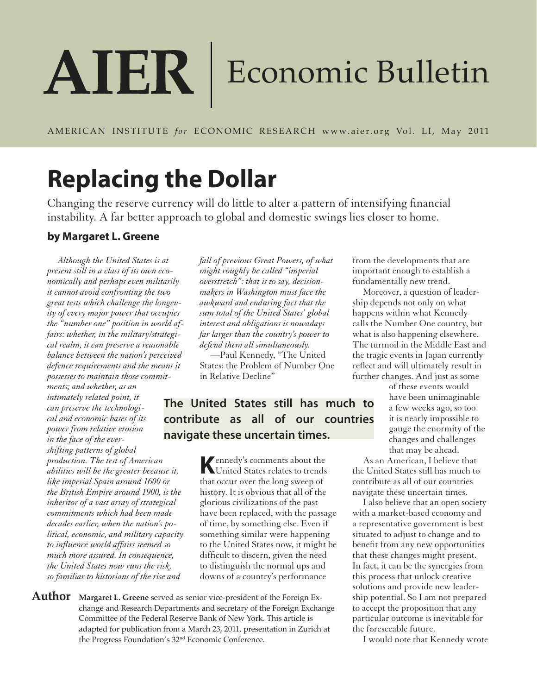# AIER | Economic Bulletin

AMERICAN INSTITUTE *for* ECONOMIC RESEARCH www.aier.org Vol. LI, May 2011

## **Replacing the Dollar**

Changing the reserve currency will do little to alter a pattern of intensifying financial instability. A far better approach to global and domestic swings lies closer to home.

#### **by Margaret L. Greene**

*Although the United States is at present still in a class of its own economically and perhaps even militarily it cannot avoid confronting the two great tests which challenge the longevity of every major power that occupies the "number one" position in world affairs: whether, in the military/strategical realm, it can preserve a reasonable balance between the nation's perceived defence requirements and the means it possesses to maintain those commit-*

*ments; and whether, as an intimately related point, it can preserve the technological and economic bases of its power from relative erosion in the face of the evershifting patterns of global production. The test of American abilities will be the greater because it, like imperial Spain around 1600 or the British Empire around 1900, is the inheritor of a vast array of strategical commitments which had been made decades earlier, when the nation's political, economic, and military capacity to influence world affairs seemed so much more assured. In consequence, the United States now runs the risk, so familiar to historians of the rise and* 

*fall of previous Great Powers, of what might roughly be called "imperial overstretch": that is to say, decisionmakers in Washington must face the awkward and enduring fact that the sum total of the United States' global interest and obligations is nowadays far larger than the country's power to defend them all simultaneously.*

—Paul Kennedy, "The United States: the Problem of Number One in Relative Decline"

#### **The United States still has much to contribute as all of our countries navigate these uncertain times.**

**K** ennedy's comments about the United States relates to trends United States relates to trends that occur over the long sweep of history. It is obvious that all of the glorious civilizations of the past have been replaced, with the passage of time, by something else. Even if something similar were happening to the United States now, it might be difficult to discern, given the need to distinguish the normal ups and downs of a country's performance

**Author Margaret L. Greene** served as senior vice-president of the Foreign Exchange and Research Departments and secretary of the Foreign Exchange Committee of the Federal Reserve Bank of New York. This article is adapted for publication from a March 23, 2011, presentation in Zurich at the Progress Foundation's 32nd Economic Conference.

from the developments that are important enough to establish a fundamentally new trend.

Moreover, a question of leadership depends not only on what happens within what Kennedy calls the Number One country, but what is also happening elsewhere. The turmoil in the Middle East and the tragic events in Japan currently reflect and will ultimately result in further changes. And just as some

> of these events would have been unimaginable a few weeks ago, so too it is nearly impossible to gauge the enormity of the changes and challenges that may be ahead.

As an American, I believe that the United States still has much to contribute as all of our countries navigate these uncertain times.

I also believe that an open society with a market-based economy and a representative government is best situated to adjust to change and to benefit from any new opportunities that these changes might present. In fact, it can be the synergies from this process that unlock creative solutions and provide new leadership potential. So I am not prepared to accept the proposition that any particular outcome is inevitable for the foreseeable future.

I would note that Kennedy wrote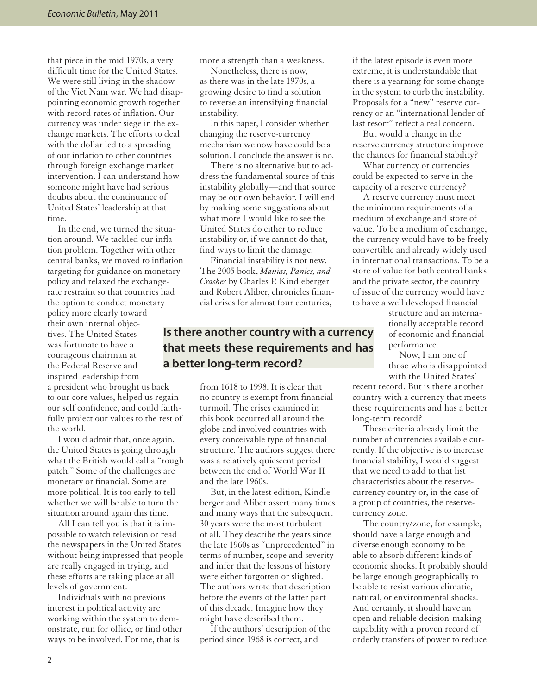that piece in the mid 1970s, a very difficult time for the United States. We were still living in the shadow of the Viet Nam war. We had disappointing economic growth together with record rates of inflation. Our currency was under siege in the exchange markets. The efforts to deal with the dollar led to a spreading of our inflation to other countries through foreign exchange market intervention. I can understand how someone might have had serious doubts about the continuance of United States' leadership at that time.

In the end, we turned the situation around. We tackled our inflation problem. Together with other central banks, we moved to inflation targeting for guidance on monetary policy and relaxed the exchangerate restraint so that countries had the option to conduct monetary policy more clearly toward their own internal objectives. The United States was fortunate to have a courageous chairman at the Federal Reserve and inspired leadership from a president who brought us back to our core values, helped us regain our self confidence, and could faithfully project our values to the rest of the world.

I would admit that, once again, the United States is going through what the British would call a "rough patch." Some of the challenges are monetary or financial. Some are more political. It is too early to tell whether we will be able to turn the situation around again this time.

All I can tell you is that it is impossible to watch television or read the newspapers in the United States without being impressed that people are really engaged in trying, and these efforts are taking place at all levels of government.

Individuals with no previous interest in political activity are working within the system to demonstrate, run for office, or find other ways to be involved. For me, that is

more a strength than a weakness.

Nonetheless, there is now, as there was in the late 1970s, a growing desire to find a solution to reverse an intensifying financial instability.

In this paper, I consider whether changing the reserve-currency mechanism we now have could be a solution. I conclude the answer is no.

There is no alternative but to address the fundamental source of this instability globally—and that source may be our own behavior. I will end by making some suggestions about what more I would like to see the United States do either to reduce instability or, if we cannot do that, find ways to limit the damage.

Financial instability is not new. The 2005 book, *Manias, Panics, and Crashes* by Charles P. Kindleberger and Robert Aliber, chronicles financial crises for almost four centuries,

#### **Is there another country with a currency that meets these requirements and has a better long-term record?**

from 1618 to 1998. It is clear that no country is exempt from financial turmoil. The crises examined in this book occurred all around the globe and involved countries with every conceivable type of financial structure. The authors suggest there was a relatively quiescent period between the end of World War II and the late 1960s.

But, in the latest edition, Kindleberger and Aliber assert many times and many ways that the subsequent 30 years were the most turbulent of all. They describe the years since the late 1960s as "unprecedented" in terms of number, scope and severity and infer that the lessons of history were either forgotten or slighted. The authors wrote that description before the events of the latter part of this decade. Imagine how they might have described them.

If the authors' description of the period since 1968 is correct, and

if the latest episode is even more extreme, it is understandable that there is a yearning for some change in the system to curb the instability. Proposals for a "new" reserve currency or an "international lender of last resort" reflect a real concern.

But would a change in the reserve currency structure improve the chances for financial stability?

What currency or currencies could be expected to serve in the capacity of a reserve currency?

A reserve currency must meet the minimum requirements of a medium of exchange and store of value. To be a medium of exchange, the currency would have to be freely convertible and already widely used in international transactions. To be a store of value for both central banks and the private sector, the country of issue of the currency would have to have a well developed financial

> structure and an internationally acceptable record of economic and financial performance.

Now, I am one of those who is disappointed with the United States'

recent record. But is there another country with a currency that meets these requirements and has a better long-term record?

These criteria already limit the number of currencies available currently. If the objective is to increase financial stability, I would suggest that we need to add to that list characteristics about the reservecurrency country or, in the case of a group of countries, the reservecurrency zone.

The country/zone, for example, should have a large enough and diverse enough economy to be able to absorb different kinds of economic shocks. It probably should be large enough geographically to be able to resist various climatic, natural, or environmental shocks. And certainly, it should have an open and reliable decision-making capability with a proven record of orderly transfers of power to reduce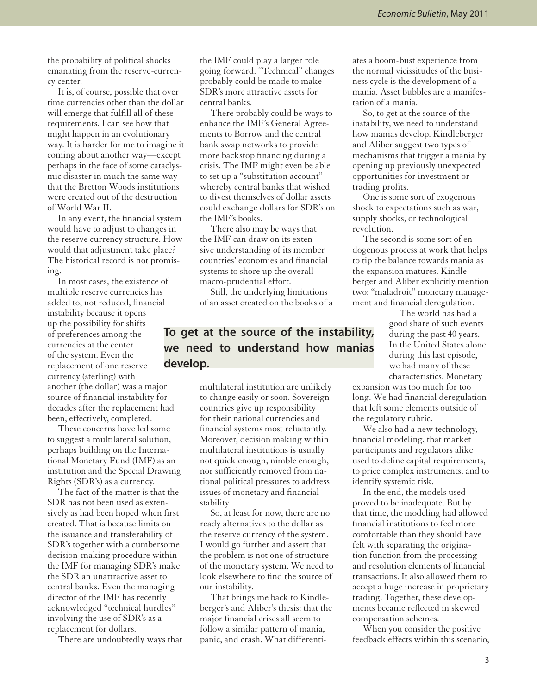the probability of political shocks emanating from the reserve-currency center.

It is, of course, possible that over time currencies other than the dollar will emerge that fulfill all of these requirements. I can see how that might happen in an evolutionary way. It is harder for me to imagine it coming about another way—except perhaps in the face of some cataclysmic disaster in much the same way that the Bretton Woods institutions were created out of the destruction of World War II.

In any event, the financial system would have to adjust to changes in the reserve currency structure. How would that adjustment take place? The historical record is not promising.

In most cases, the existence of multiple reserve currencies has added to, not reduced, financial instability because it opens up the possibility for shifts of preferences among the currencies at the center of the system. Even the replacement of one reserve currency (sterling) with another (the dollar) was a major source of financial instability for decades after the replacement had been, effectively, completed.

These concerns have led some to suggest a multilateral solution, perhaps building on the International Monetary Fund (IMF) as an institution and the Special Drawing Rights (SDR's) as a currency.

The fact of the matter is that the SDR has not been used as extensively as had been hoped when first created. That is because limits on the issuance and transferability of SDR's together with a cumbersome decision-making procedure within the IMF for managing SDR's make the SDR an unattractive asset to central banks. Even the managing director of the IMF has recently acknowledged "technical hurdles" involving the use of SDR's as a replacement for dollars.

There are undoubtedly ways that

the IMF could play a larger role going forward. "Technical" changes probably could be made to make SDR's more attractive assets for central banks.

There probably could be ways to enhance the IMF's General Agreements to Borrow and the central bank swap networks to provide more backstop financing during a crisis. The IMF might even be able to set up a "substitution account" whereby central banks that wished to divest themselves of dollar assets could exchange dollars for SDR's on the IMF's books.

There also may be ways that the IMF can draw on its extensive understanding of its member countries' economies and financial systems to shore up the overall macro-prudential effort.

Still, the underlying limitations of an asset created on the books of a

#### **To get at the source of the instability, we need to understand how manias develop.**

multilateral institution are unlikely to change easily or soon. Sovereign countries give up responsibility for their national currencies and financial systems most reluctantly. Moreover, decision making within multilateral institutions is usually not quick enough, nimble enough, nor sufficiently removed from national political pressures to address issues of monetary and financial stability.

So, at least for now, there are no ready alternatives to the dollar as the reserve currency of the system. I would go further and assert that the problem is not one of structure of the monetary system. We need to look elsewhere to find the source of our instability.

That brings me back to Kindleberger's and Aliber's thesis: that the major financial crises all seem to follow a similar pattern of mania, panic, and crash. What differentiates a boom-bust experience from the normal vicissitudes of the business cycle is the development of a mania. Asset bubbles are a manifestation of a mania.

So, to get at the source of the instability, we need to understand how manias develop. Kindleberger and Aliber suggest two types of mechanisms that trigger a mania by opening up previously unexpected opportunities for investment or trading profits.

One is some sort of exogenous shock to expectations such as war, supply shocks, or technological revolution.

The second is some sort of endogenous process at work that helps to tip the balance towards mania as the expansion matures. Kindleberger and Aliber explicitly mention two: "maladroit" monetary management and financial deregulation.

> The world has had a good share of such events during the past 40 years. In the United States alone during this last episode, we had many of these characteristics. Monetary

expansion was too much for too long. We had financial deregulation that left some elements outside of the regulatory rubric.

We also had a new technology, financial modeling, that market participants and regulators alike used to define capital requirements, to price complex instruments, and to identify systemic risk.

In the end, the models used proved to be inadequate. But by that time, the modeling had allowed financial institutions to feel more comfortable than they should have felt with separating the origination function from the processing and resolution elements of financial transactions. It also allowed them to accept a huge increase in proprietary trading. Together, these developments became reflected in skewed compensation schemes.

When you consider the positive feedback effects within this scenario,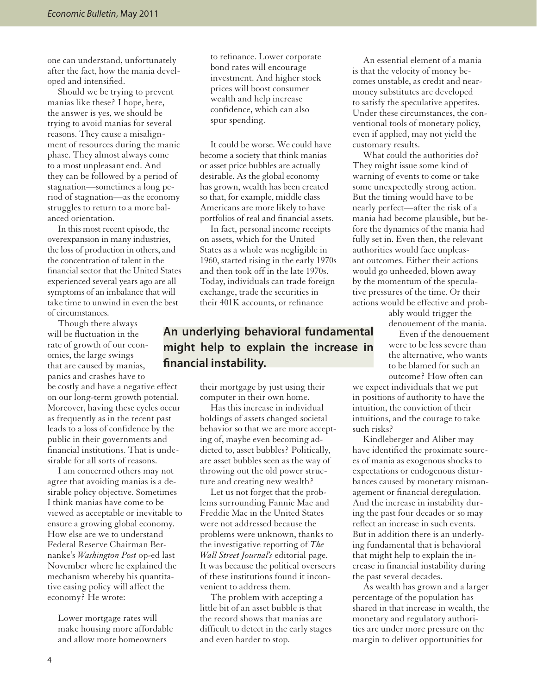one can understand, unfortunately after the fact, how the mania developed and intensified.

Should we be trying to prevent manias like these? I hope, here, the answer is yes, we should be trying to avoid manias for several reasons. They cause a misalignment of resources during the manic phase. They almost always come to a most unpleasant end. And they can be followed by a period of stagnation—sometimes a long period of stagnation—as the economy struggles to return to a more balanced orientation.

In this most recent episode, the overexpansion in many industries, the loss of production in others, and the concentration of talent in the financial sector that the United States experienced several years ago are all symptoms of an imbalance that will take time to unwind in even the best of circumstances.

Though there always will be fluctuation in the rate of growth of our economies, the large swings that are caused by manias, panics and crashes have to be costly and have a negative effect on our long-term growth potential. Moreover, having these cycles occur as frequently as in the recent past leads to a loss of confidence by the public in their governments and financial institutions. That is undesirable for all sorts of reasons.

I am concerned others may not agree that avoiding manias is a desirable policy objective. Sometimes I think manias have come to be viewed as acceptable or inevitable to ensure a growing global economy. How else are we to understand Federal Reserve Chairman Bernanke's *Washington Post* op-ed last November where he explained the mechanism whereby his quantitative easing policy will affect the economy? He wrote:

Lower mortgage rates will make housing more affordable and allow more homeowners

to refinance. Lower corporate bond rates will encourage investment. And higher stock prices will boost consumer wealth and help increase confidence, which can also spur spending.

It could be worse. We could have become a society that think manias or asset price bubbles are actually desirable. As the global economy has grown, wealth has been created so that, for example, middle class Americans are more likely to have portfolios of real and financial assets.

In fact, personal income receipts on assets, which for the United States as a whole was negligible in 1960, started rising in the early 1970s and then took off in the late 1970s. Today, individuals can trade foreign exchange, trade the securities in their 401K accounts, or refinance

#### **An underlying behavioral fundamental might help to explain the increase in financial instability.**

their mortgage by just using their computer in their own home.

Has this increase in individual holdings of assets changed societal behavior so that we are more accepting of, maybe even becoming addicted to, asset bubbles? Politically, are asset bubbles seen as the way of throwing out the old power structure and creating new wealth?

Let us not forget that the problems surrounding Fannie Mae and Freddie Mac in the United States were not addressed because the problems were unknown, thanks to the investigative reporting of *The Wall Street Journal's* editorial page. It was because the political overseers of these institutions found it inconvenient to address them.

The problem with accepting a little bit of an asset bubble is that the record shows that manias are difficult to detect in the early stages and even harder to stop.

An essential element of a mania is that the velocity of money becomes unstable, as credit and nearmoney substitutes are developed to satisfy the speculative appetites. Under these circumstances, the conventional tools of monetary policy, even if applied, may not yield the customary results.

What could the authorities do? They might issue some kind of warning of events to come or take some unexpectedly strong action. But the timing would have to be nearly perfect—after the risk of a mania had become plausible, but before the dynamics of the mania had fully set in. Even then, the relevant authorities would face unpleasant outcomes. Either their actions would go unheeded, blown away by the momentum of the speculative pressures of the time. Or their actions would be effective and prob-

> ably would trigger the denouement of the mania.

Even if the denouement were to be less severe than the alternative, who wants to be blamed for such an outcome? How often can

we expect individuals that we put in positions of authority to have the intuition, the conviction of their intuitions, and the courage to take such risks?

Kindleberger and Aliber may have identified the proximate sources of mania as exogenous shocks to expectations or endogenous disturbances caused by monetary mismanagement or financial deregulation. And the increase in instability during the past four decades or so may reflect an increase in such events. But in addition there is an underlying fundamental that is behavioral that might help to explain the increase in financial instability during the past several decades.

As wealth has grown and a larger percentage of the population has shared in that increase in wealth, the monetary and regulatory authorities are under more pressure on the margin to deliver opportunities for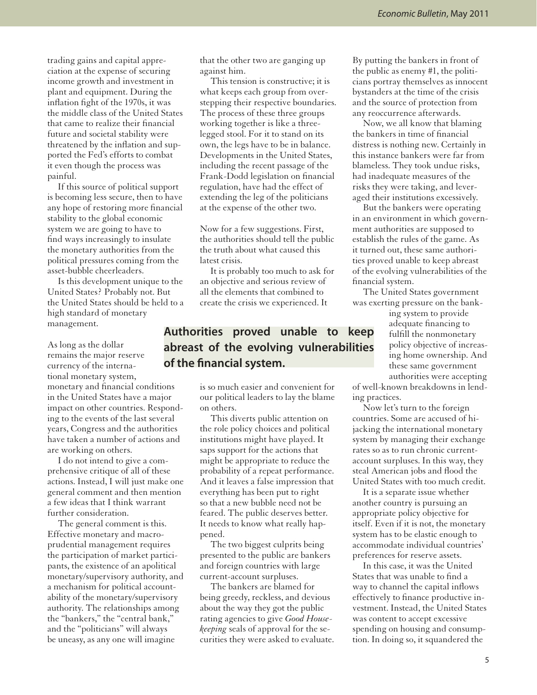trading gains and capital appreciation at the expense of securing income growth and investment in plant and equipment. During the inflation fight of the 1970s, it was the middle class of the United States that came to realize their financial future and societal stability were threatened by the inflation and supported the Fed's efforts to combat it even though the process was painful.

If this source of political support is becoming less secure, then to have any hope of restoring more financial stability to the global economic system we are going to have to find ways increasingly to insulate the monetary authorities from the political pressures coming from the asset-bubble cheerleaders.

Is this development unique to the United States? Probably not. But the United States should be held to a high standard of monetary management.

As long as the dollar remains the major reserve currency of the international monetary system, monetary and financial conditions in the United States have a major impact on other countries. Responding to the events of the last several years, Congress and the authorities have taken a number of actions and are working on others.

I do not intend to give a comprehensive critique of all of these actions. Instead, I will just make one general comment and then mention a few ideas that I think warrant further consideration.

The general comment is this. Effective monetary and macroprudential management requires the participation of market participants, the existence of an apolitical monetary/supervisory authority, and a mechanism for political accountability of the monetary/supervisory authority. The relationships among the "bankers," the "central bank," and the "politicians" will always be uneasy, as any one will imagine

that the other two are ganging up against him.

This tension is constructive; it is what keeps each group from overstepping their respective boundaries. The process of these three groups working together is like a threelegged stool. For it to stand on its own, the legs have to be in balance. Developments in the United States, including the recent passage of the Frank-Dodd legislation on financial regulation, have had the effect of extending the leg of the politicians at the expense of the other two.

Now for a few suggestions. First, the authorities should tell the public the truth about what caused this latest crisis.

It is probably too much to ask for an objective and serious review of all the elements that combined to create the crisis we experienced. It

#### **Authorities proved unable to keep abreast of the evolving vulnerabilities of the financial system.**

is so much easier and convenient for our political leaders to lay the blame on others.

This diverts public attention on the role policy choices and political institutions might have played. It saps support for the actions that might be appropriate to reduce the probability of a repeat performance. And it leaves a false impression that everything has been put to right so that a new bubble need not be feared. The public deserves better. It needs to know what really happened.

The two biggest culprits being presented to the public are bankers and foreign countries with large current-account surpluses.

The bankers are blamed for being greedy, reckless, and devious about the way they got the public rating agencies to give *Good Housekeeping* seals of approval for the securities they were asked to evaluate.

By putting the bankers in front of the public as enemy #1, the politicians portray themselves as innocent bystanders at the time of the crisis and the source of protection from any reoccurrence afterwards.

Now, we all know that blaming the bankers in time of financial distress is nothing new. Certainly in this instance bankers were far from blameless. They took undue risks, had inadequate measures of the risks they were taking, and leveraged their institutions excessively.

But the bankers were operating in an environment in which government authorities are supposed to establish the rules of the game. As it turned out, these same authorities proved unable to keep abreast of the evolving vulnerabilities of the financial system.

The United States government was exerting pressure on the bank-

> ing system to provide adequate financing to fulfill the nonmonetary policy objective of increasing home ownership. And these same government authorities were accepting

of well-known breakdowns in lending practices.

Now let's turn to the foreign countries. Some are accused of hijacking the international monetary system by managing their exchange rates so as to run chronic currentaccount surpluses. In this way, they steal American jobs and flood the United States with too much credit.

It is a separate issue whether another country is pursuing an appropriate policy objective for itself. Even if it is not, the monetary system has to be elastic enough to accommodate individual countries' preferences for reserve assets.

In this case, it was the United States that was unable to find a way to channel the capital inflows effectively to finance productive investment. Instead, the United States was content to accept excessive spending on housing and consumption. In doing so, it squandered the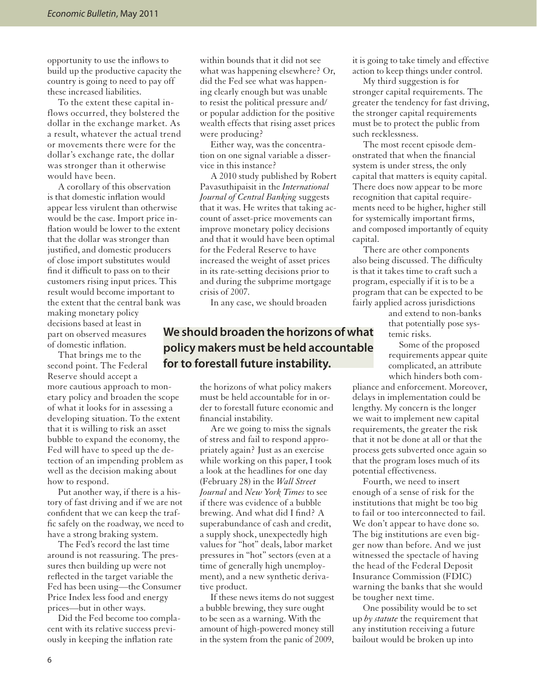opportunity to use the inflows to build up the productive capacity the country is going to need to pay off these increased liabilities.

To the extent these capital inflows occurred, they bolstered the dollar in the exchange market. As a result, whatever the actual trend or movements there were for the dollar's exchange rate, the dollar was stronger than it otherwise would have been.

A corollary of this observation is that domestic inflation would appear less virulent than otherwise would be the case. Import price inflation would be lower to the extent that the dollar was stronger than justified, and domestic producers of close import substitutes would find it difficult to pass on to their customers rising input prices. This result would become important to the extent that the central bank was making monetary policy decisions based at least in part on observed measures of domestic inflation.

That brings me to the second point. The Federal Reserve should accept a more cautious approach to monetary policy and broaden the scope of what it looks for in assessing a developing situation. To the extent that it is willing to risk an asset bubble to expand the economy, the Fed will have to speed up the detection of an impending problem as well as the decision making about how to respond.

Put another way, if there is a history of fast driving and if we are not confident that we can keep the traffic safely on the roadway, we need to have a strong braking system.

The Fed's record the last time around is not reassuring. The pressures then building up were not reflected in the target variable the Fed has been using—the Consumer Price Index less food and energy prices—but in other ways.

Did the Fed become too complacent with its relative success previously in keeping the inflation rate

within bounds that it did not see what was happening elsewhere? Or, did the Fed see what was happening clearly enough but was unable to resist the political pressure and/ or popular addiction for the positive wealth effects that rising asset prices were producing?

Either way, was the concentration on one signal variable a disservice in this instance?

A 2010 study published by Robert Pavasuthipaisit in the *International Journal of Central Banking* suggests that it was. He writes that taking account of asset-price movements can improve monetary policy decisions and that it would have been optimal for the Federal Reserve to have increased the weight of asset prices in its rate-setting decisions prior to and during the subprime mortgage crisis of 2007.

In any case, we should broaden

#### **We should broaden the horizons of what policy makers must be held accountable for to forestall future instability.**

the horizons of what policy makers must be held accountable for in order to forestall future economic and financial instability.

Are we going to miss the signals of stress and fail to respond appropriately again? Just as an exercise while working on this paper, I took a look at the headlines for one day (February 28) in the *Wall Street Journal* and *New York Times* to see if there was evidence of a bubble brewing. And what did I find? A superabundance of cash and credit, a supply shock, unexpectedly high values for "hot" deals, labor market pressures in "hot" sectors (even at a time of generally high unemployment), and a new synthetic derivative product.

If these news items do not suggest a bubble brewing, they sure ought to be seen as a warning. With the amount of high-powered money still in the system from the panic of 2009,

it is going to take timely and effective action to keep things under control.

My third suggestion is for stronger capital requirements. The greater the tendency for fast driving, the stronger capital requirements must be to protect the public from such recklessness.

The most recent episode demonstrated that when the financial system is under stress, the only capital that matters is equity capital. There does now appear to be more recognition that capital requirements need to be higher, higher still for systemically important firms, and composed importantly of equity capital.

There are other components also being discussed. The difficulty is that it takes time to craft such a program, especially if it is to be a program that can be expected to be fairly applied across jurisdictions

> and extend to non-banks that potentially pose systemic risks.

Some of the proposed requirements appear quite complicated, an attribute which hinders both com-

pliance and enforcement. Moreover, delays in implementation could be lengthy. My concern is the longer we wait to implement new capital requirements, the greater the risk that it not be done at all or that the process gets subverted once again so that the program loses much of its potential effectiveness.

Fourth, we need to insert enough of a sense of risk for the institutions that might be too big to fail or too interconnected to fail. We don't appear to have done so. The big institutions are even bigger now than before. And we just witnessed the spectacle of having the head of the Federal Deposit Insurance Commission (FDIC) warning the banks that she would be tougher next time.

One possibility would be to set up *by statute* the requirement that any institution receiving a future bailout would be broken up into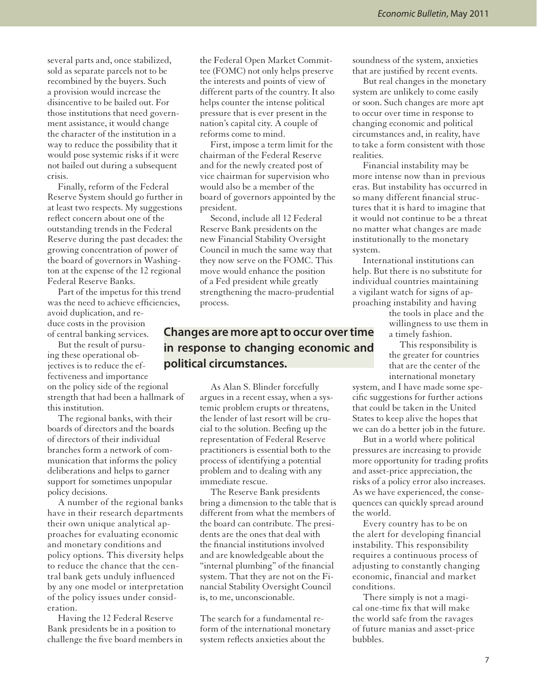several parts and, once stabilized, sold as separate parcels not to be recombined by the buyers. Such a provision would increase the disincentive to be bailed out. For those institutions that need government assistance, it would change the character of the institution in a way to reduce the possibility that it would pose systemic risks if it were not bailed out during a subsequent crisis.

Finally, reform of the Federal Reserve System should go further in at least two respects. My suggestions reflect concern about one of the outstanding trends in the Federal Reserve during the past decades: the growing concentration of power of the board of governors in Washington at the expense of the 12 regional Federal Reserve Banks.

Part of the impetus for this trend was the need to achieve efficiencies, avoid duplication, and reduce costs in the provision of central banking services.

But the result of pursuing these operational objectives is to reduce the effectiveness and importance on the policy side of the regional strength that had been a hallmark of this institution.

The regional banks, with their boards of directors and the boards of directors of their individual branches form a network of communication that informs the policy deliberations and helps to garner support for sometimes unpopular policy decisions.

A number of the regional banks have in their research departments their own unique analytical approaches for evaluating economic and monetary conditions and policy options. This diversity helps to reduce the chance that the central bank gets unduly influenced by any one model or interpretation of the policy issues under consideration.

Having the 12 Federal Reserve Bank presidents be in a position to challenge the five board members in

the Federal Open Market Committee (FOMC) not only helps preserve the interests and points of view of different parts of the country. It also helps counter the intense political pressure that is ever present in the nation's capital city. A couple of reforms come to mind.

First, impose a term limit for the chairman of the Federal Reserve and for the newly created post of vice chairman for supervision who would also be a member of the board of governors appointed by the president.

Second, include all 12 Federal Reserve Bank presidents on the new Financial Stability Oversight Council in much the same way that they now serve on the FOMC. This move would enhance the position of a Fed president while greatly strengthening the macro-prudential process.

#### **Changes are more apt to occur over time in response to changing economic and political circumstances.**

As Alan S. Blinder forcefully argues in a recent essay, when a systemic problem erupts or threatens, the lender of last resort will be crucial to the solution. Beefing up the representation of Federal Reserve practitioners is essential both to the process of identifying a potential problem and to dealing with any immediate rescue.

The Reserve Bank presidents bring a dimension to the table that is different from what the members of the board can contribute. The presidents are the ones that deal with the financial institutions involved and are knowledgeable about the "internal plumbing" of the financial system. That they are not on the Financial Stability Oversight Council is, to me, unconscionable.

The search for a fundamental reform of the international monetary system reflects anxieties about the

soundness of the system, anxieties that are justified by recent events.

But real changes in the monetary system are unlikely to come easily or soon. Such changes are more apt to occur over time in response to changing economic and political circumstances and, in reality, have to take a form consistent with those realities.

Financial instability may be more intense now than in previous eras. But instability has occurred in so many different financial structures that it is hard to imagine that it would not continue to be a threat no matter what changes are made institutionally to the monetary system.

International institutions can help. But there is no substitute for individual countries maintaining a vigilant watch for signs of approaching instability and having

> the tools in place and the willingness to use them in a timely fashion.

This responsibility is the greater for countries that are the center of the international monetary

system, and I have made some specific suggestions for further actions that could be taken in the United States to keep alive the hopes that we can do a better job in the future.

But in a world where political pressures are increasing to provide more opportunity for trading profits and asset-price appreciation, the risks of a policy error also increases. As we have experienced, the consequences can quickly spread around the world.

Every country has to be on the alert for developing financial instability. This responsibility requires a continuous process of adjusting to constantly changing economic, financial and market conditions.

There simply is not a magical one-time fix that will make the world safe from the ravages of future manias and asset-price bubbles.